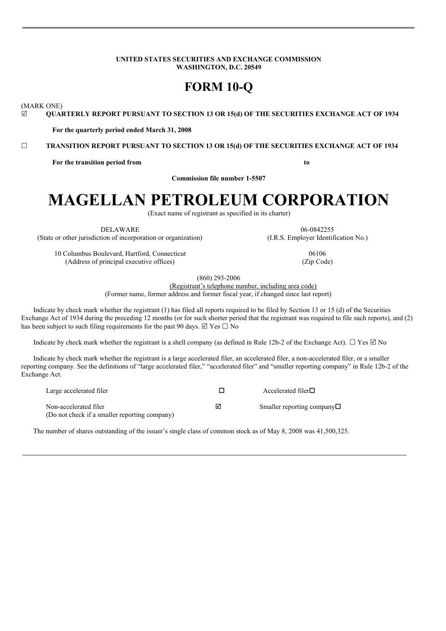#### **UNITED STATES SECURITIES AND EXCHANGE COMMISSION WASHINGTON, D.C. 20549**

## **FORM 10-Q**

(MARK ONE)

R **QUARTERLY REPORT PURSUANT TO SECTION 13 OR 15(d) OF THE SECURITIES EXCHANGE ACT OF 1934**

**For the quarterly period ended March 31, 2008**

£ **TRANSITION REPORT PURSUANT TO SECTION 13 OR 15(d) OF THE SECURITIES EXCHANGE ACT OF 1934**

**For the transition period from to**

**Commission file number 1-5507**

# **MAGELLAN PETROLEUM CORPORATION**

(Exact name of registrant as specified in its charter)

(State or other jurisdiction of incorporation or organization) (I.R.S. Employer Identification No.)

DELAWARE 06-0842255

10 Columbus Boulevard, Hartford, Connecticut 06106 (Address of principal executive offices) (Zip Code)

(860) 293-2006

(Registrant's telephone number, including area code) (Former name, former address and former fiscal year, if changed since last report)

Indicate by check mark whether the registrant (1) has filed all reports required to be filed by Section 13 or 15 (d) of the Securities Exchange Act of 1934 during the preceding 12 months (or for such shorter period that the registrant was required to file such reports), and (2) has been subject to such filing requirements for the past 90 days.  $\Box$  Yes  $\Box$  No

Indicate by check mark whether the registrant is a shell company (as defined in Rule 12b-2 of the Exchange Act).  $\Box$  Yes  $\Box$  No

Indicate by check mark whether the registrant is a large accelerated filer, an accelerated filer, a non-accelerated filer, or a smaller reporting company. See the definitions of "large accelerated filer," "accelerated filer" and "smaller reporting company" in Rule 12b-2 of the Exchange Act.

Large accelerated filer  $\Box$  Accelerated filer $\Box$ Non-accelerated filer  $\Box$  Smaller reporting company $\Box$ (Do not check if a smaller reporting company)

The number of shares outstanding of the issuer's single class of common stock as of May 8, 2008 was 41,500,325.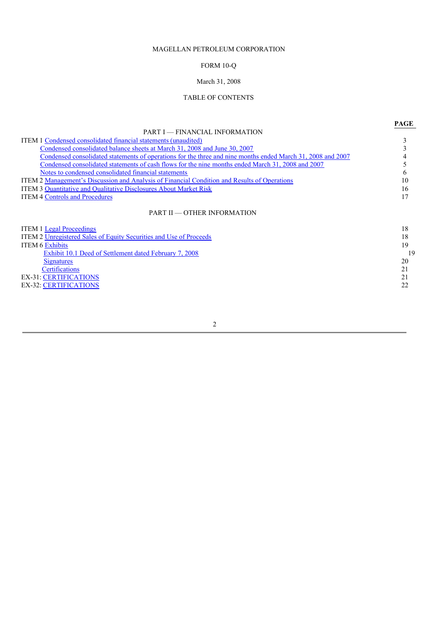## MAGELLAN PETROLEUM CORPORATION

## FORM 10-Q

## March 31, 2008

## TABLE OF CONTENTS

|                                                                                                             | <b>PAGE</b> |
|-------------------------------------------------------------------------------------------------------------|-------------|
| PART I — FINANCIAL INFORMATION                                                                              |             |
| <b>ITEM 1 Condensed consolidated financial statements (unaudited)</b>                                       | 3           |
| Condensed consolidated balance sheets at March 31, 2008 and June 30, 2007                                   |             |
| Condensed consolidated statements of operations for the three and nine months ended March 31, 2008 and 2007 |             |
| Condensed consolidated statements of cash flows for the nine months ended March 31, 2008 and 2007           |             |
| Notes to condensed consolidated financial statements                                                        | 6           |
| <b>ITEM 2 Management's Discussion and Analysis of Financial Condition and Results of Operations</b>         | 10          |
| ITEM 3 Quantitative and Qualitative Disclosures About Market Risk                                           | 16          |
| <b>ITEM 4 Controls and Procedures</b>                                                                       | 17          |
| <b>PART II — OTHER INFORMATION</b>                                                                          |             |
| <b>ITEM 1 Legal Proceedings</b>                                                                             | 18          |
| ITEM 2 Unregistered Sales of Equity Securities and Use of Proceeds                                          | 18          |
| <b>ITEM 6 Exhibits</b>                                                                                      | 19          |
| Exhibit 10.1 Deed of Settlement dated February 7, 2008                                                      | 19          |
| <b>Signatures</b>                                                                                           | 20          |
| Certifications                                                                                              | 21          |
| <b>EX-31: CERTIFICATIONS</b>                                                                                | 21          |
| <b>EX-32: CERTIFICATIONS</b>                                                                                | 22          |
|                                                                                                             |             |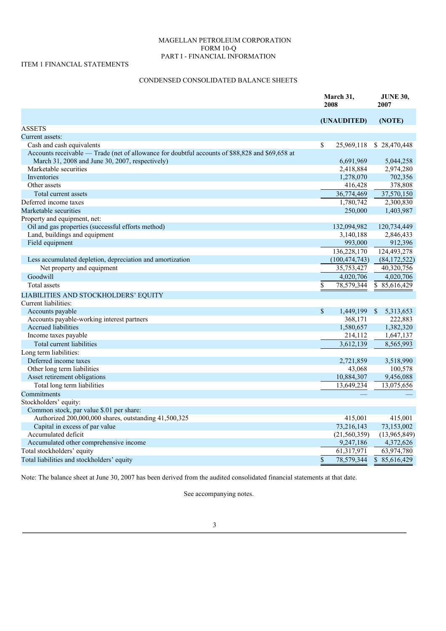#### MAGELLAN PETROLEUM CORPORATION FORM 10-Q PART I - FINANCIAL INFORMATION

## ITEM 1 FINANCIAL STATEMENTS

## CONDENSED CONSOLIDATED BALANCE SHEETS

|                                                                                                 | March 31,<br>2008               | <b>JUNE 30,</b><br>2007   |
|-------------------------------------------------------------------------------------------------|---------------------------------|---------------------------|
|                                                                                                 | (UNAUDITED)                     | (NOTE)                    |
| <b>ASSETS</b>                                                                                   |                                 |                           |
| Current assets:                                                                                 |                                 |                           |
| Cash and cash equivalents                                                                       | \$<br>25,969,118                | \$28,470,448              |
| Accounts receivable — Trade (net of allowance for doubtful accounts of \$88,828 and \$69,658 at |                                 |                           |
| March 31, 2008 and June 30, 2007, respectively)                                                 | 6,691,969                       | 5,044,258                 |
| Marketable securities                                                                           | 2,418,884                       | 2,974,280                 |
| Inventories                                                                                     | 1,278,070                       | 702,356                   |
| Other assets                                                                                    | 416,428                         | 378,808                   |
| Total current assets                                                                            | 36,774,469                      | 37,570,150                |
| Deferred income taxes                                                                           | 1,780,742                       | 2,300,830                 |
| Marketable securities                                                                           | 250,000                         | 1,403,987                 |
| Property and equipment, net:                                                                    |                                 |                           |
| Oil and gas properties (successful efforts method)                                              | 132,094,982                     | 120,734,449               |
| Land, buildings and equipment                                                                   | 3,140,188                       | 2,846,433                 |
| Field equipment                                                                                 | 993,000                         | 912,396                   |
|                                                                                                 | 136,228,170                     | 124,493,278               |
| Less accumulated depletion, depreciation and amortization                                       | (100, 474, 743)                 | (84, 172, 522)            |
| Net property and equipment                                                                      | 35,753,427                      | 40,320,756                |
| Goodwill                                                                                        | 4,020,706                       | 4,020,706                 |
| <b>Total</b> assets                                                                             | 78,579,344<br>\$                | 85,616,429<br>\$          |
| LIABILITIES AND STOCKHOLDERS' EQUITY                                                            |                                 |                           |
| Current liabilities:                                                                            |                                 |                           |
| Accounts payable                                                                                | \$<br>1,449,199                 | \$<br>5,313,653           |
| Accounts payable-working interest partners                                                      | 368,171                         | 222,883                   |
| <b>Accrued liabilities</b>                                                                      | 1,580,657                       | 1,382,320                 |
| Income taxes payable                                                                            | 214,112                         | 1,647,137                 |
| Total current liabilities                                                                       | 3,612,139                       | 8,565,993                 |
| Long term liabilities:                                                                          |                                 |                           |
| Deferred income taxes                                                                           | 2,721,859                       | 3,518,990                 |
| Other long term liabilities                                                                     | 43,068                          | 100,578                   |
| Asset retirement obligations                                                                    | 10,884,307                      | 9,456,088                 |
| Total long term liabilities                                                                     | 13,649,234                      | 13,075,656                |
| Commitments                                                                                     |                                 |                           |
| Stockholders' equity:                                                                           |                                 |                           |
| Common stock, par value \$.01 per share:                                                        |                                 |                           |
| Authorized 200,000,000 shares, outstanding 41,500,325                                           | 415,001                         | 415,001                   |
| Capital in excess of par value                                                                  | 73,216,143                      | 73,153,002                |
| Accumulated deficit                                                                             | (21, 560, 359)                  | (13,965,849)              |
| Accumulated other comprehensive income                                                          | 9,247,186                       | 4,372,626                 |
| Total stockholders' equity                                                                      | 61,317,971                      | 63,974,780                |
| Total liabilities and stockholders' equity                                                      | $\boldsymbol{\$}$<br>78,579,344 | $\mathbb S$<br>85,616,429 |

Note: The balance sheet at June 30, 2007 has been derived from the audited consolidated financial statements at that date.

See accompanying notes.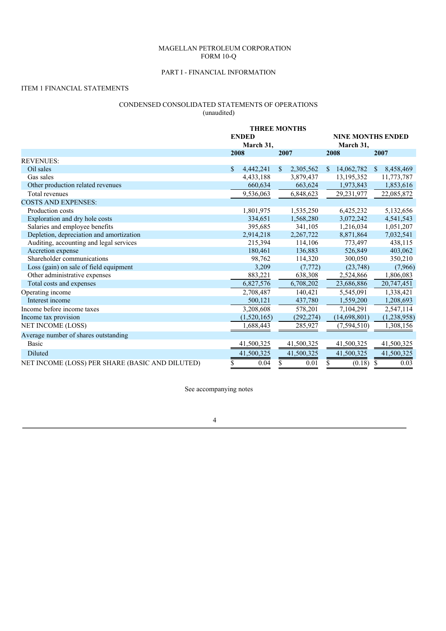## MAGELLAN PETROLEUM CORPORATION FORM 10-Q

## PART I - FINANCIAL INFORMATION

## ITEM 1 FINANCIAL STATEMENTS

## CONDENSED CONSOLIDATED STATEMENTS OF OPERATIONS (unaudited)

|                                                 |               | <b>THREE MONTHS</b><br><b>ENDED</b><br>March 31, |              |            |              | <b>NINE MONTHS ENDED</b> |              |               |
|-------------------------------------------------|---------------|--------------------------------------------------|--------------|------------|--------------|--------------------------|--------------|---------------|
|                                                 | 2008          |                                                  | 2007         |            | 2008         |                          |              | 2007          |
| <b>REVENUES:</b>                                |               |                                                  |              |            |              |                          |              |               |
| Oil sales                                       | $\mathcal{S}$ | 4,442,241                                        | $\mathbb{S}$ | 2,305,562  | <sup>S</sup> | 14,062,782               | $\mathbb{S}$ | 8,458,469     |
| Gas sales                                       |               | 4,433,188                                        |              | 3,879,437  |              | 13,195,352               |              | 11,773,787    |
| Other production related revenues               |               | 660,634                                          |              | 663,624    |              | 1,973,843                |              | 1,853,616     |
| Total revenues                                  |               | 9,536,063                                        |              | 6,848,623  |              | 29,231,977               |              | 22,085,872    |
| <b>COSTS AND EXPENSES:</b>                      |               |                                                  |              |            |              |                          |              |               |
| Production costs                                |               | 1,801,975                                        |              | 1,535,250  |              | 6,425,232                |              | 5,132,656     |
| Exploration and dry hole costs                  |               | 334,651                                          |              | 1,568,280  |              | 3,072,242                |              | 4,541,543     |
| Salaries and employee benefits                  |               | 395,685                                          |              | 341,105    |              | 1,216,034                |              | 1,051,207     |
| Depletion, depreciation and amortization        |               | 2,914,218                                        |              | 2,267,722  |              | 8,871,864                |              | 7,032,541     |
| Auditing, accounting and legal services         |               | 215,394                                          |              | 114,106    |              | 773,497                  |              | 438,115       |
| Accretion expense                               |               | 180,461                                          |              | 136,883    |              | 526,849                  |              | 403,062       |
| Shareholder communications                      |               | 98,762                                           |              | 114,320    |              | 300,050                  |              | 350,210       |
| Loss (gain) on sale of field equipment          |               | 3,209                                            |              | (7, 772)   |              | (23,748)                 |              | (7,966)       |
| Other administrative expenses                   |               | 883,221                                          |              | 638,308    |              | 2,524,866                |              | 1,806,083     |
| Total costs and expenses                        |               | 6,827,576                                        |              | 6,708,202  |              | 23,686,886               |              | 20,747,451    |
| Operating income                                |               | 2,708,487                                        |              | 140.421    |              | 5,545,091                |              | 1,338,421     |
| Interest income                                 |               | 500,121                                          |              | 437,780    |              | 1,559,200                |              | 1,208,693     |
| Income before income taxes                      |               | 3,208,608                                        |              | 578,201    |              | 7,104,291                |              | 2,547,114     |
| Income tax provision                            |               | (1,520,165)                                      |              | (292, 274) |              | (14,698,801)             |              | (1, 238, 958) |
| NET INCOME (LOSS)                               |               | 1,688,443                                        |              | 285,927    |              | (7, 594, 510)            |              | 1,308,156     |
| Average number of shares outstanding            |               |                                                  |              |            |              |                          |              |               |
| <b>Basic</b>                                    |               | 41,500,325                                       |              | 41,500,325 |              | 41,500,325               |              | 41,500,325    |
| Diluted                                         |               | 41,500,325                                       |              | 41,500,325 |              | 41,500,325               |              | 41,500,325    |
| NET INCOME (LOSS) PER SHARE (BASIC AND DILUTED) | \$            | 0.04                                             | \$           | 0.01       | \$           | (0.18)                   | \$           | 0.03          |

See accompanying notes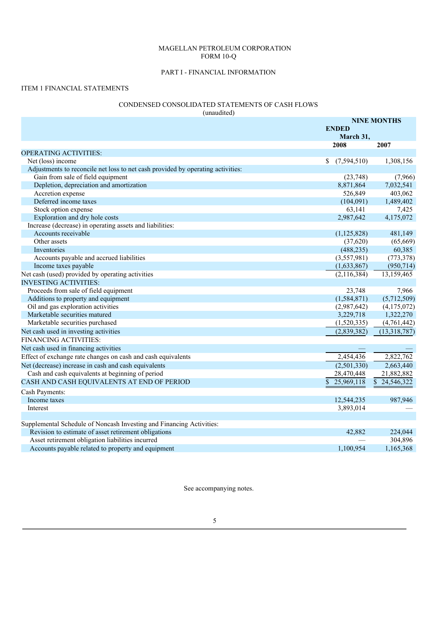## MAGELLAN PETROLEUM CORPORATION FORM 10-Q

## PART I - FINANCIAL INFORMATION

## ITEM 1 FINANCIAL STATEMENTS

## CONDENSED CONSOLIDATED STATEMENTS OF CASH FLOWS

(unaudited)

|                                                                                 |                   | <b>NINE MONTHS</b> |
|---------------------------------------------------------------------------------|-------------------|--------------------|
|                                                                                 | <b>ENDED</b>      |                    |
|                                                                                 | March 31,         |                    |
|                                                                                 | 2008              | 2007               |
| <b>OPERATING ACTIVITIES:</b>                                                    |                   |                    |
| Net (loss) income                                                               | (7,594,510)<br>\$ | 1,308,156          |
| Adjustments to reconcile net loss to net cash provided by operating activities: |                   |                    |
| Gain from sale of field equipment                                               | (23,748)          | (7,966)            |
| Depletion, depreciation and amortization                                        | 8,871,864         | 7,032,541          |
| Accretion expense                                                               | 526,849           | 403,062            |
| Deferred income taxes                                                           | (104,091)         | 1,489,402          |
| Stock option expense                                                            | 63,141            | 7,425              |
| Exploration and dry hole costs                                                  | 2,987,642         | 4,175,072          |
| Increase (decrease) in operating assets and liabilities:                        |                   |                    |
| Accounts receivable                                                             | (1, 125, 828)     | 481,149            |
| Other assets                                                                    | (37,620)          | (65,669)           |
| Inventories                                                                     | (488, 235)        | 60,385             |
| Accounts payable and accrued liabilities                                        | (3,557,981)       | (773, 378)         |
| Income taxes payable                                                            | (1,633,867)       | (950, 714)         |
| Net cash (used) provided by operating activities                                | (2,116,384)       | 13,159,465         |
| <b>INVESTING ACTIVITIES:</b>                                                    |                   |                    |
| Proceeds from sale of field equipment                                           | 23,748            | 7,966              |
| Additions to property and equipment                                             | (1,584,871)       | (5,712,509)        |
| Oil and gas exploration activities                                              | (2,987,642)       | (4,175,072)        |
| Marketable securities matured                                                   | 3,229,718         | 1,322,270          |
| Marketable securities purchased                                                 | (1,520,335)       | (4,761,442)        |
| Net cash used in investing activities                                           | (2,839,382)       | (13,318,787)       |
| <b>FINANCING ACTIVITIES:</b>                                                    |                   |                    |
| Net cash used in financing activities                                           |                   |                    |
| Effect of exchange rate changes on cash and cash equivalents                    | 2,454,436         | 2,822,762          |
| Net (decrease) increase in cash and cash equivalents                            | (2,501,330)       | 2,663,440          |
| Cash and cash equivalents at beginning of period                                | 28,470,448        | 21,882,882         |
| CASH AND CASH EQUIVALENTS AT END OF PERIOD                                      | \$25,969,118      | \$24,546,322       |
| Cash Payments:                                                                  |                   |                    |
| Income taxes                                                                    | 12,544,235        | 987,946            |
| Interest                                                                        | 3,893,014         |                    |
|                                                                                 |                   |                    |
| Supplemental Schedule of Noncash Investing and Financing Activities:            |                   |                    |
| Revision to estimate of asset retirement obligations                            | 42,882            | 224,044            |
| Asset retirement obligation liabilities incurred                                |                   | 304,896            |
| Accounts payable related to property and equipment                              | 1.100.954         | 1,165,368          |

See accompanying notes.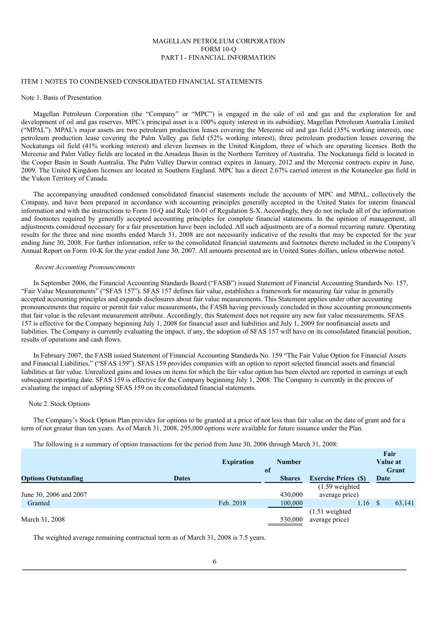#### MAGELLAN PETROLEUM CORPORATION FORM 10-Q PART I - FINANCIAL INFORMATION

## ITEM 1 NOTES TO CONDENSED CONSOLIDATED FINANCIAL STATEMENTS

#### Note 1. Basis of Presentation

Magellan Petroleum Corporation (the "Company" or "MPC") is engaged in the sale of oil and gas and the exploration for and development of oil and gas reserves. MPC's principal asset is a 100% equity interest in its subsidiary, Magellan Petroleum Australia Limited ("MPAL"). MPAL's major assets are two petroleum production leases covering the Mereenie oil and gas field (35% working interest), one petroleum production lease covering the Palm Valley gas field (52% working interest), three petroleum production leases covering the Nockatunga oil field (41% working interest) and eleven licenses in the United Kingdom, three of which are operating licenses. Both the Mereenie and Palm Valley fields are located in the Amadeus Basin in the Northern Territory of Australia. The Nockatunga field is located in the Cooper Basin in South Australia. The Palm Valley Darwin contract expires in January, 2012 and the Mereenie contracts expire in June, 2009. The United Kingdom licenses are located in Southern England. MPC has a direct 2.67% carried interest in the Kotaneelee gas field in the Yukon Territory of Canada.

The accompanying unaudited condensed consolidated financial statements include the accounts of MPC and MPAL, collectively the Company, and have been prepared in accordance with accounting principles generally accepted in the United States for interim financial information and with the instructions to Form 10-Q and Rule 10-01 of Regulation S-X. Accordingly, they do not include all of the information and footnotes required by generally accepted accounting principles for complete financial statements. In the opinion of management, all adjustments considered necessary for a fair presentation have been included. All such adjustments are of a normal recurring nature. Operating results for the three and nine months ended March 31, 2008 are not necessarily indicative of the results that may be expected for the year ending June 30, 2008. For further information, refer to the consolidated financial statements and footnotes thereto included in the Company's Annual Report on Form 10-K for the year ended June 30, 2007. All amounts presented are in United States dollars, unless otherwise noted.

#### *Recent Accounting Pronouncements*

In September 2006, the Financial Accounting Standards Board ("FASB") issued Statement of Financial Accounting Standards No. 157, "Fair Value Measurements" ("SFAS 157"). SFAS 157 defines fair value, establishes a framework for measuring fair value in generally accepted accounting principles and expands disclosures about fair value measurements. This Statement applies under other accounting pronouncements that require or permit fair value measurements, the FASB having previously concluded in those accounting pronouncements that fair value is the relevant measurement attribute. Accordingly, this Statement does not require any new fair value measurements. SFAS 157 is effective for the Company beginning July 1, 2008 for financial asset and liabilities and July 1, 2009 for nonfinancial assets and liabilities. The Company is currently evaluating the impact, if any, the adoption of SFAS 157 will have on its consolidated financial position, results of operations and cash flows.

In February 2007, the FASB issued Statement of Financial Accounting Standards No. 159 "The Fair Value Option for Financial Assets and Financial Liabilities," ("SFAS 159"). SFAS 159 provides companies with an option to report selected financial assets and financial liabilities at fair value. Unrealized gains and losses on items for which the fair value option has been elected are reported in earnings at each subsequent reporting date. SFAS 159 is effective for the Company beginning July 1, 2008. The Company is currently in the process of evaluating the impact of adopting SFAS 159 on its consolidated financial statements.

#### Note 2. Stock Options

The Company's Stock Option Plan provides for options to be granted at a price of not less than fair value on the date of grant and for a term of not greater than ten years. As of March 31, 2008, 295,000 options were available for future issuance under the Plan.

The following is a summary of option transactions for the period from June 30, 2006 through March 31, 2008:

| <b>Options Outstanding</b><br><b>Dates</b> |  | <b>Expiration</b> | <b>Number</b><br>of<br><b>Shares</b> | <b>Exercise Prices</b> (\$)         | Fair<br>Value at<br>Date | Grant  |
|--------------------------------------------|--|-------------------|--------------------------------------|-------------------------------------|--------------------------|--------|
|                                            |  |                   |                                      | $(1.59$ weighted                    |                          |        |
| June 30, 2006 and 2007                     |  |                   | 430,000                              | average price)                      |                          |        |
| Granted                                    |  | Feb. 2018         | 100,000                              | 1.16                                |                          | 63,141 |
| March 31, 2008                             |  |                   | 530,000                              | $(1.51)$ weighted<br>average price) |                          |        |

The weighted average remaining contractual term as of March 31, 2008 is 7.5 years.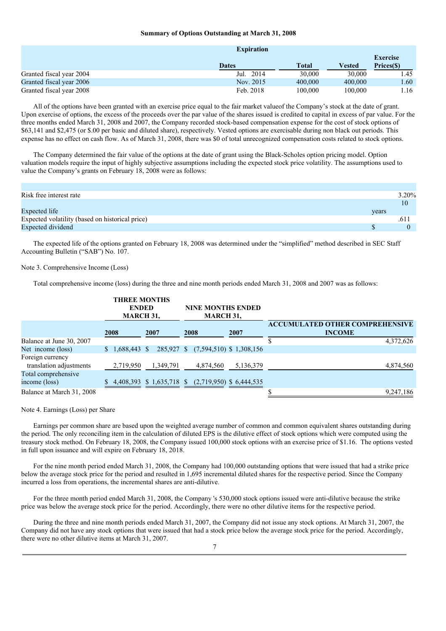#### **Summary of Options Outstanding at March 31, 2008**

|                          | <b>Expiration</b> |              |         |                               |  |  |  |
|--------------------------|-------------------|--------------|---------|-------------------------------|--|--|--|
|                          | <b>Dates</b>      | <b>Total</b> | Vested  | <b>Exercise</b><br>Prices(\$) |  |  |  |
| Granted fiscal year 2004 | Jul. 2014         | 30,000       | 30,000  | 1.45                          |  |  |  |
| Granted fiscal year 2006 | Nov. 2015         | 400,000      | 400,000 | 1.60                          |  |  |  |
| Granted fiscal year 2008 | Feb. 2018         | 100.000      | 100.000 | 1.16                          |  |  |  |

All of the options have been granted with an exercise price equal to the fair market valueof the Company's stock at the date of grant. Upon exercise of options, the excess of the proceeds over the par value of the shares issued is credited to capital in excess of par value. For the three months ended March 31, 2008 and 2007, the Company recorded stock-based compensation expense for the cost of stock options of \$63,141 and \$2,475 (or \$.00 per basic and diluted share), respectively. Vested options are exercisable during non black out periods. This expense has no effect on cash flow. As of March 31, 2008, there was \$0 of total unrecognized compensation costs related to stock options.

The Company determined the fair value of the options at the date of grant using the Black-Scholes option pricing model. Option valuation models require the input of highly subjective assumptions including the expected stock price volatility. The assumptions used to value the Company's grants on February 18, 2008 were as follows:

| Risk free interest rate                         |       | $3.20\%$ |
|-------------------------------------------------|-------|----------|
|                                                 |       | 10       |
| Expected life                                   | years |          |
| Expected volatility (based on historical price) |       | .61      |
| Expected dividend                               |       |          |

The expected life of the options granted on February 18, 2008 was determined under the "simplified" method described in SEC Staff Accounting Bulletin ("SAB") No. 107.

#### Note 3. Comprehensive Income (Loss)

Total comprehensive income (loss) during the three and nine month periods ended March 31, 2008 and 2007 was as follows:

|                                             | <b>THREE MONTHS</b><br><b>ENDED</b><br><b>MARCH 31,</b> |           | <b>NINE MONTHS ENDED</b><br><b>MARCH 31,</b>       |           |                                                         |
|---------------------------------------------|---------------------------------------------------------|-----------|----------------------------------------------------|-----------|---------------------------------------------------------|
|                                             | 2008                                                    | 2007      | 2008                                               | 2007      | <b>ACCUMULATED OTHER COMPREHENSIVE</b><br><b>INCOME</b> |
| Balance at June 30, 2007                    |                                                         |           |                                                    |           | 4,372,626                                               |
| Net income (loss)                           | $$1,688,443$ \;                                         |           | 285,927 \$ (7,594,510) \$ 1,308,156                |           |                                                         |
| Foreign currency<br>translation adjustments | 2,719,950                                               | 1,349,791 | 4,874,560                                          | 5,136,379 | 4,874,560                                               |
| Total comprehensive<br>income (loss)        |                                                         |           | 4,408,393 \$ 1,635,718 \$ (2,719,950) \$ 6,444,535 |           |                                                         |
| Balance at March 31, 2008                   |                                                         |           |                                                    |           | 9.247.186                                               |

Note 4. Earnings (Loss) per Share

Earnings per common share are based upon the weighted average number of common and common equivalent shares outstanding during the period. The only reconciling item in the calculation of diluted EPS is the dilutive effect of stock options which were computed using the treasury stock method. On February 18, 2008, the Company issued 100,000 stock options with an exercise price of \$1.16. The options vested in full upon issuance and will expire on February 18, 2018.

For the nine month period ended March 31, 2008, the Company had 100,000 outstanding options that were issued that had a strike price below the average stock price for the period and resulted in 1,695 incremental diluted shares for the respective period. Since the Company incurred a loss from operations, the incremental shares are anti-dilutive.

For the three month period ended March 31, 2008, the Company 's 530,000 stock options issued were anti-dilutive because the strike price was below the average stock price for the period. Accordingly, there were no other dilutive items for the respective period.

During the three and nine month periods ended March 31, 2007, the Company did not issue any stock options. At March 31, 2007, the Company did not have any stock options that were issued that had a stock price below the average stock price for the period. Accordingly, there were no other dilutive items at March 31, 2007.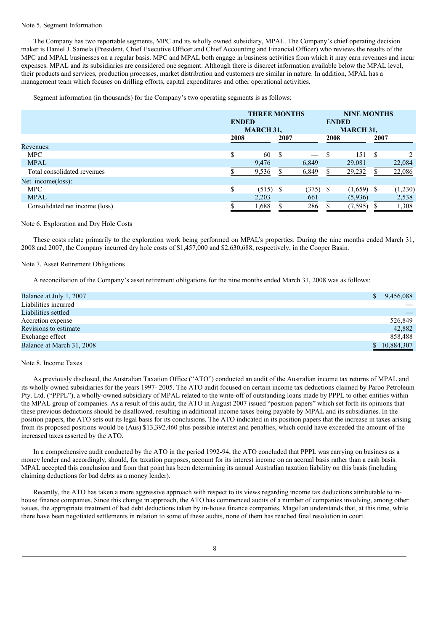#### Note 5. Segment Information

The Company has two reportable segments, MPC and its wholly owned subsidiary, MPAL. The Company's chief operating decision maker is Daniel J. Samela (President, Chief Executive Officer and Chief Accounting and Financial Officer) who reviews the results of the MPC and MPAL businesses on a regular basis. MPC and MPAL both engage in business activities from which it may earn revenues and incur expenses. MPAL and its subsidiaries are considered one segment. Although there is discreet information available below the MPAL level, their products and services, production processes, market distribution and customers are similar in nature. In addition, MPAL has a management team which focuses on drilling efforts, capital expenditures and other operational activities.

Segment information (in thousands) for the Company's two operating segments is as follows:

|                                | <b>THREE MONTHS</b><br><b>ENDED</b><br><b>MARCH 31,</b> |       |      |            |      | <b>NINE MONTHS</b><br><b>ENDED</b><br><b>MARCH 31,</b> |      |               |  |
|--------------------------------|---------------------------------------------------------|-------|------|------------|------|--------------------------------------------------------|------|---------------|--|
|                                | 2008                                                    |       | 2007 |            | 2008 |                                                        | 2007 |               |  |
| Revenues:                      |                                                         |       |      |            |      |                                                        |      |               |  |
| <b>MPC</b>                     | \$                                                      | 60    | S    |            | S    | 151                                                    | S    | $\mathcal{L}$ |  |
| <b>MPAL</b>                    |                                                         | 9,476 |      | 6,849      |      | 29,081                                                 |      | 22,084        |  |
| Total consolidated revenues    |                                                         | 9,536 |      | 6,849      |      | 29,232                                                 |      | 22,086        |  |
| Net income(loss):              |                                                         |       |      |            |      |                                                        |      |               |  |
| <b>MPC</b>                     | \$                                                      | (515) | - \$ | $(375)$ \$ |      | (1,659)                                                | - \$ | (1,230)       |  |
| <b>MPAL</b>                    |                                                         | 2,203 |      | 661        |      | (5,936)                                                |      | 2,538         |  |
| Consolidated net income (loss) |                                                         | 1,688 |      | 286        |      | (7, 595)                                               |      | 1,308         |  |

#### Note 6. Exploration and Dry Hole Costs

These costs relate primarily to the exploration work being performed on MPAL's properties. During the nine months ended March 31, 2008 and 2007, the Company incurred dry hole costs of \$1,457,000 and \$2,630,688, respectively, in the Cooper Basin.

#### Note 7. Asset Retirement Obligations

A reconciliation of the Company's asset retirement obligations for the nine months ended March 31, 2008 was as follows:

| Balance at July 1, 2007   | S. | 9,456,088    |
|---------------------------|----|--------------|
| Liabilities incurred      |    |              |
| Liabilities settled       |    |              |
| Accretion expense         |    | 526,849      |
| Revisions to estimate     |    | 42,882       |
| Exchange effect           |    | 858,488      |
| Balance at March 31, 2008 |    | \$10,884,307 |

#### Note 8. Income Taxes

As previously disclosed, the Australian Taxation Office ("ATO") conducted an audit of the Australian income tax returns of MPAL and its wholly owned subsidiaries for the years 1997- 2005. The ATO audit focused on certain income tax deductions claimed by Paroo Petroleum Pty. Ltd. ("PPPL"), a wholly-owned subsidiary of MPAL related to the write-off of outstanding loans made by PPPL to other entities within the MPAL group of companies. As a result of this audit, the ATO in August 2007 issued "position papers" which set forth its opinions that these previous deductions should be disallowed, resulting in additional income taxes being payable by MPAL and its subsidiaries. In the position papers, the ATO sets out its legal basis for its conclusions. The ATO indicated in its position papers that the increase in taxes arising from its proposed positions would be (Aus) \$13,392,460 plus possible interest and penalties, which could have exceeded the amount of the increased taxes asserted by the ATO.

In a comprehensive audit conducted by the ATO in the period 1992-94, the ATO concluded that PPPL was carrying on business as a money lender and accordingly, should, for taxation purposes, account for its interest income on an accrual basis rather than a cash basis. MPAL accepted this conclusion and from that point has been determining its annual Australian taxation liability on this basis (including claiming deductions for bad debts as a money lender).

Recently, the ATO has taken a more aggressive approach with respect to its views regarding income tax deductions attributable to inhouse finance companies. Since this change in approach, the ATO has commenced audits of a number of companies involving, among other issues, the appropriate treatment of bad debt deductions taken by in-house finance companies. Magellan understands that, at this time, while there have been negotiated settlements in relation to some of these audits, none of them has reached final resolution in court.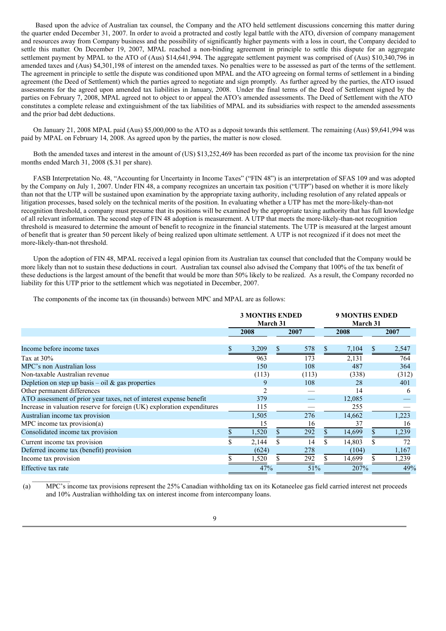Based upon the advice of Australian tax counsel, the Company and the ATO held settlement discussions concerning this matter during the quarter ended December 31, 2007. In order to avoid a protracted and costly legal battle with the ATO, diversion of company management and resources away from Company business and the possibility of significantly higher payments with a loss in court, the Company decided to settle this matter. On December 19, 2007, MPAL reached a non-binding agreement in principle to settle this dispute for an aggregate settlement payment by MPAL to the ATO of (Aus) \$14,641,994. The aggregate settlement payment was comprised of (Aus) \$10,340,796 in amended taxes and (Aus) \$4,301,198 of interest on the amended taxes. No penalties were to be assessed as part of the terms of the settlement. The agreement in principle to settle the dispute was conditioned upon MPAL and the ATO agreeing on formal terms of settlement in a binding agreement (the Deed of Settlement) which the parties agreed to negotiate and sign promptly. As further agreed by the parties, the ATO issued assessments for the agreed upon amended tax liabilities in January, 2008. Under the final terms of the Deed of Settlement signed by the parties on February 7, 2008, MPAL agreed not to object to or appeal the ATO's amended assessments. The Deed of Settlement with the ATO constitutes a complete release and extinguishment of the tax liabilities of MPAL and its subsidiaries with respect to the amended assessments and the prior bad debt deductions.

On January 21, 2008 MPAL paid (Aus) \$5,000,000 to the ATO as a deposit towards this settlement. The remaining (Aus) \$9,641,994 was paid by MPAL on February 14, 2008. As agreed upon by the parties, the matter is now closed.

Both the amended taxes and interest in the amount of (US) \$13,252,469 has been recorded as part of the income tax provision for the nine months ended March 31, 2008 (\$.31 per share).

FASB Interpretation No. 48, "Accounting for Uncertainty in Income Taxes" ("FIN 48") is an interpretation of SFAS 109 and was adopted by the Company on July 1, 2007. Under FIN 48, a company recognizes an uncertain tax position ("UTP") based on whether it is more likely than not that the UTP will be sustained upon examination by the appropriate taxing authority, including resolution of any related appeals or litigation processes, based solely on the technical merits of the position. In evaluating whether a UTP has met the more-likely-than-not recognition threshold, a company must presume that its positions will be examined by the appropriate taxing authority that has full knowledge of all relevant information. The second step of FIN 48 adoption is measurement. A UTP that meets the more-likely-than-not recognition threshold is measured to determine the amount of benefit to recognize in the financial statements. The UTP is measured at the largest amount of benefit that is greater than 50 percent likely of being realized upon ultimate settlement. A UTP is not recognized if it does not meet the more-likely-than-not threshold.

Upon the adoption of FIN 48, MPAL received a legal opinion from its Australian tax counsel that concluded that the Company would be more likely than not to sustain these deductions in court. Australian tax counsel also advised the Company that 100% of the tax benefit of these deductions is the largest amount of the benefit that would be more than 50% likely to be realized. As a result, the Company recorded no liability for this UTP prior to the settlement which was negotiated in December, 2007.

The components of the income tax (in thousands) between MPC and MPAL are as follows:

 $\frac{1}{2}$  ,  $\frac{1}{2}$  ,  $\frac{1}{2}$  ,  $\frac{1}{2}$  ,  $\frac{1}{2}$ 

|                                                                         | <b>3 MONTHS ENDED</b><br>March 31 |                |    |       |      | <b>9 MONTHS ENDED</b><br>March 31 |    |       |  |
|-------------------------------------------------------------------------|-----------------------------------|----------------|----|-------|------|-----------------------------------|----|-------|--|
|                                                                         |                                   | 2008           |    | 2007  | 2008 |                                   |    | 2007  |  |
|                                                                         |                                   |                |    |       |      |                                   |    |       |  |
| Income before income taxes                                              |                                   | 3,209          | S. | 578   | S    | 7,104                             | S. | 2,547 |  |
| Tax at $30\%$                                                           |                                   | 963            |    | 173   |      | 2,131                             |    | 764   |  |
| MPC's non Australian loss                                               |                                   | 150            |    | 108   |      | 487                               |    | 364   |  |
| Non-taxable Australian revenue                                          |                                   | (113)          |    | (113) |      | (338)                             |    | (312) |  |
| Depletion on step up basis – oil $\&$ gas properties                    |                                   | 9              |    | 108   |      | 28                                |    | 401   |  |
| Other permanent differences                                             |                                   | $\mathfrak{D}$ |    |       |      | 14                                |    | h     |  |
| ATO assessment of prior year taxes, net of interest expense benefit     |                                   | 379            |    |       |      | 12,085                            |    |       |  |
| Increase in valuation reserve for foreign (UK) exploration expenditures |                                   | 115            |    |       |      | 255                               |    |       |  |
| Australian income tax provision                                         |                                   | 1,505          |    | 276   |      | 14,662                            |    | 1,223 |  |
| MPC income tax provision(a)                                             |                                   | 15             |    | 16    |      | 37                                |    | 16    |  |
| Consolidated income tax provision                                       |                                   | 1,520          |    | 292   |      | 14,699                            |    | 1,239 |  |
| Current income tax provision                                            | ъ.                                | 2,144          | \$ | 14    | \$   | 14,803                            |    | 72    |  |
| Deferred income tax (benefit) provision                                 |                                   | (624)          |    | 278   |      | (104)                             |    | 1,167 |  |
| Income tax provision                                                    |                                   | 1,520          |    | 292   |      | 14,699                            |    | 1,239 |  |
| Effective tax rate                                                      |                                   | 47%            |    | 51%   |      | 207%                              |    | 49%   |  |

(a) MPC's income tax provisions represent the 25% Canadian withholding tax on its Kotaneelee gas field carried interest net proceeds and 10% Australian withholding tax on interest income from intercompany loans.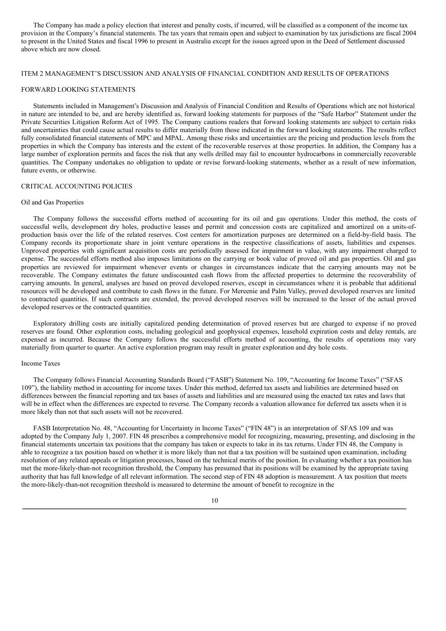The Company has made a policy election that interest and penalty costs, if incurred, will be classified as a component of the income tax provision in the Company's financial statements. The tax years that remain open and subject to examination by tax jurisdictions are fiscal 2004 to present in the United States and fiscal 1996 to present in Australia except for the issues agreed upon in the Deed of Settlement discussed above which are now closed.

#### ITEM 2 MANAGEMENT'S DISCUSSION AND ANALYSIS OF FINANCIAL CONDITION AND RESULTS OF OPERATIONS

#### FORWARD LOOKING STATEMENTS

Statements included in Management's Discussion and Analysis of Financial Condition and Results of Operations which are not historical in nature are intended to be, and are hereby identified as, forward looking statements for purposes of the "Safe Harbor" Statement under the Private Securities Litigation Reform Act of 1995. The Company cautions readers that forward looking statements are subject to certain risks and uncertainties that could cause actual results to differ materially from those indicated in the forward looking statements. The results reflect fully consolidated financial statements of MPC and MPAL. Among these risks and uncertainties are the pricing and production levels from the properties in which the Company has interests and the extent of the recoverable reserves at those properties. In addition, the Company has a large number of exploration permits and faces the risk that any wells drilled may fail to encounter hydrocarbons in commercially recoverable quantities. The Company undertakes no obligation to update or revise forward-looking statements, whether as a result of new information, future events, or otherwise.

#### CRITICAL ACCOUNTING POLICIES

#### Oil and Gas Properties

The Company follows the successful efforts method of accounting for its oil and gas operations. Under this method, the costs of successful wells, development dry holes, productive leases and permit and concession costs are capitalized and amortized on a units-ofproduction basis over the life of the related reserves. Cost centers for amortization purposes are determined on a field-by-field basis. The Company records its proportionate share in joint venture operations in the respective classifications of assets, liabilities and expenses. Unproved properties with significant acquisition costs are periodically assessed for impairment in value, with any impairment charged to expense. The successful efforts method also imposes limitations on the carrying or book value of proved oil and gas properties. Oil and gas properties are reviewed for impairment whenever events or changes in circumstances indicate that the carrying amounts may not be recoverable. The Company estimates the future undiscounted cash flows from the affected properties to determine the recoverability of carrying amounts. In general, analyses are based on proved developed reserves, except in circumstances where it is probable that additional resources will be developed and contribute to cash flows in the future. For Mereenie and Palm Valley, proved developed reserves are limited to contracted quantities. If such contracts are extended, the proved developed reserves will be increased to the lesser of the actual proved developed reserves or the contracted quantities.

Exploratory drilling costs are initially capitalized pending determination of proved reserves but are charged to expense if no proved reserves are found. Other exploration costs, including geological and geophysical expenses, leasehold expiration costs and delay rentals, are expensed as incurred. Because the Company follows the successful efforts method of accounting, the results of operations may vary materially from quarter to quarter. An active exploration program may result in greater exploration and dry hole costs.

#### Income Taxes

The Company follows Financial Accounting Standards Board ("FASB") Statement No. 109, "Accounting for Income Taxes" ("SFAS 109"), the liability method in accounting for income taxes. Under this method, deferred tax assets and liabilities are determined based on differences between the financial reporting and tax bases of assets and liabilities and are measured using the enacted tax rates and laws that will be in effect when the differences are expected to reverse. The Company records a valuation allowance for deferred tax assets when it is more likely than not that such assets will not be recovered.

FASB Interpretation No. 48, "Accounting for Uncertainty in Income Taxes" ("FIN 48") is an interpretation of SFAS 109 and was adopted by the Company July 1, 2007. FIN 48 prescribes a comprehensive model for recognizing, measuring, presenting, and disclosing in the financial statements uncertain tax positions that the company has taken or expects to take in its tax returns. Under FIN 48, the Company is able to recognize a tax position based on whether it is more likely than not that a tax position will be sustained upon examination, including resolution of any related appeals or litigation processes, based on the technical merits of the position. In evaluating whether a tax position has met the more-likely-than-not recognition threshold, the Company has presumed that its positions will be examined by the appropriate taxing authority that has full knowledge of all relevant information. The second step of FIN 48 adoption is measurement. A tax position that meets the more-likely-than-not recognition threshold is measured to determine the amount of benefit to recognize in the

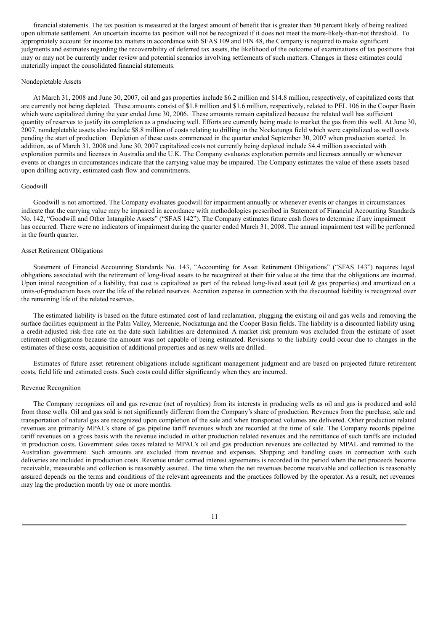financial statements. The tax position is measured at the largest amount of benefit that is greater than 50 percent likely of being realized upon ultimate settlement. An uncertain income tax position will not be recognized if it does not meet the more-likely-than-not threshold. To appropriately account for income tax matters in accordance with SFAS 109 and FIN 48, the Company is required to make significant judgments and estimates regarding the recoverability of deferred tax assets, the likelihood of the outcome of examinations of tax positions that may or may not be currently under review and potential scenarios involving settlements of such matters. Changes in these estimates could materially impact the consolidated financial statements.

#### Nondepletable Assets

At March 31, 2008 and June 30, 2007, oil and gas properties include \$6.2 million and \$14.8 million, respectively, of capitalized costs that are currently not being depleted. These amounts consist of \$1.8 million and \$1.6 million, respectively, related to PEL 106 in the Cooper Basin which were capitalized during the year ended June 30, 2006. These amounts remain capitalized because the related well has sufficient quantity of reserves to justify its completion as a producing well. Efforts are currently being made to market the gas from this well. At June 30, 2007, nondepletable assets also include \$8.8 million of costs relating to drilling in the Nockatunga field which were capitalized as well costs pending the start of production. Depletion of these costs commenced in the quarter ended September 30, 2007 when production started. In addition, as of March 31, 2008 and June 30, 2007 capitalized costs not currently being depleted include \$4.4 million associated with exploration permits and licenses in Australia and the U.K. The Company evaluates exploration permits and licenses annually or whenever events or changes in circumstances indicate that the carrying value may be impaired. The Company estimates the value of these assets based upon drilling activity, estimated cash flow and commitments.

#### Goodwill

Goodwill is not amortized. The Company evaluates goodwill for impairment annually or whenever events or changes in circumstances indicate that the carrying value may be impaired in accordance with methodologies prescribed in Statement of Financial Accounting Standards No. 142, "Goodwill and Other Intangible Assets" ("SFAS 142"). The Company estimates future cash flows to determine if any impairment has occurred. There were no indicators of impairment during the quarter ended March 31, 2008. The annual impairment test will be performed in the fourth quarter.

#### Asset Retirement Obligations

Statement of Financial Accounting Standards No. 143, "Accounting for Asset Retirement Obligations" ("SFAS 143") requires legal obligations associated with the retirement of long-lived assets to be recognized at their fair value at the time that the obligations are incurred. Upon initial recognition of a liability, that cost is capitalized as part of the related long-lived asset (oil  $\&$  gas properties) and amortized on a units-of-production basis over the life of the related reserves. Accretion expense in connection with the discounted liability is recognized over the remaining life of the related reserves.

The estimated liability is based on the future estimated cost of land reclamation, plugging the existing oil and gas wells and removing the surface facilities equipment in the Palm Valley, Mereenie, Nockatunga and the Cooper Basin fields. The liability is a discounted liability using a credit-adjusted risk-free rate on the date such liabilities are determined. A market risk premium was excluded from the estimate of asset retirement obligations because the amount was not capable of being estimated. Revisions to the liability could occur due to changes in the estimates of these costs, acquisition of additional properties and as new wells are drilled.

Estimates of future asset retirement obligations include significant management judgment and are based on projected future retirement costs, field life and estimated costs. Such costs could differ significantly when they are incurred.

#### Revenue Recognition

The Company recognizes oil and gas revenue (net of royalties) from its interests in producing wells as oil and gas is produced and sold from those wells. Oil and gas sold is not significantly different from the Company's share of production. Revenues from the purchase, sale and transportation of natural gas are recognized upon completion of the sale and when transported volumes are delivered. Other production related revenues are primarily MPAL's share of gas pipeline tariff revenues which are recorded at the time of sale. The Company records pipeline tariff revenues on a gross basis with the revenue included in other production related revenues and the remittance of such tariffs are included in production costs. Government sales taxes related to MPAL's oil and gas production revenues are collected by MPAL and remitted to the Australian government. Such amounts are excluded from revenue and expenses. Shipping and handling costs in connection with such deliveries are included in production costs. Revenue under carried interest agreements is recorded in the period when the net proceeds become receivable, measurable and collection is reasonably assured. The time when the net revenues become receivable and collection is reasonably assured depends on the terms and conditions of the relevant agreements and the practices followed by the operator. As a result, net revenues may lag the production month by one or more months.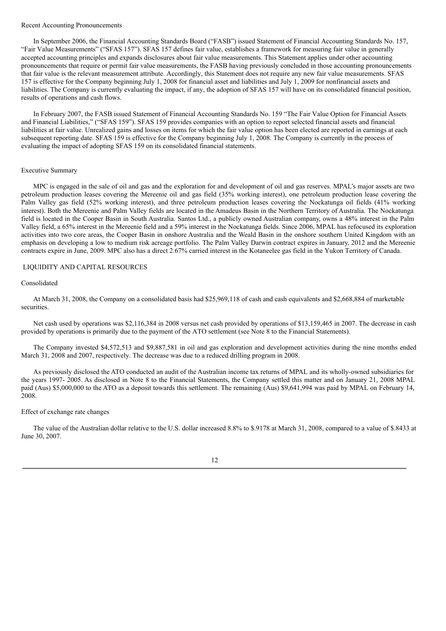#### Recent Accounting Pronouncements

In September 2006, the Financial Accounting Standards Board ("FASB") issued Statement of Financial Accounting Standards No. 157, "Fair Value Measurements" ("SFAS 157"). SFAS 157 defines fair value, establishes a framework for measuring fair value in generally accepted accounting principles and expands disclosures about fair value measurements. This Statement applies under other accounting pronouncements that require or permit fair value measurements, the FASB having previously concluded in those accounting pronouncements that fair value is the relevant measurement attribute. Accordingly, this Statement does not require any new fair value measurements. SFAS 157 is effective for the Company beginning July 1, 2008 for financial asset and liabilities and July 1, 2009 for nonfinancial assets and liabilities. The Company is currently evaluating the impact, if any, the adoption of SFAS 157 will have on its consolidated financial position, results of operations and cash flows.

In February 2007, the FASB issued Statement of Financial Accounting Standards No. 159 "The Fair Value Option for Financial Assets and Financial Liabilities," ("SFAS 159"). SFAS 159 provides companies with an option to report selected financial assets and financial liabilities at fair value. Unrealized gains and losses on items for which the fair value option has been elected are reported in earnings at each subsequent reporting date. SFAS 159 is effective for the Company beginning July 1, 2008. The Company is currently in the process of evaluating the impact of adopting SFAS 159 on its consolidated financial statements.

#### Executive Summary

MPC is engaged in the sale of oil and gas and the exploration for and development of oil and gas reserves. MPAL's major assets are two petroleum production leases covering the Mereenie oil and gas field (35% working interest), one petroleum production lease covering the Palm Valley gas field (52% working interest), and three petroleum production leases covering the Nockatunga oil fields (41% working interest). Both the Mereenie and Palm Valley fields are located in the Amadeus Basin in the Northern Territory of Australia. The Nockatunga field is located in the Cooper Basin in South Australia. Santos Ltd., a publicly owned Australian company, owns a 48% interest in the Palm Valley field, a 65% interest in the Mereenie field and a 59% interest in the Nockatunga fields. Since 2006, MPAL has refocused its exploration activities into two core areas, the Cooper Basin in onshore Australia and the Weald Basin in the onshore southern United Kingdom with an emphasis on developing a low to medium risk acreage portfolio. The Palm Valley Darwin contract expires in January, 2012 and the Mereenie contracts expire in June, 2009. MPC also has a direct 2.67% carried interest in the Kotaneelee gas field in the Yukon Territory of Canada.

#### LIQUIDITY AND CAPITAL RESOURCES

#### Consolidated

At March 31, 2008, the Company on a consolidated basis had \$25,969,118 of cash and cash equivalents and \$2,668,884 of marketable securities.

Net cash used by operations was \$2,116,384 in 2008 versus net cash provided by operations of \$13,159,465 in 2007. The decrease in cash provided by operations is primarily due to the payment of the ATO settlement (see Note 8 to the Financial Statements).

The Company invested \$4,572,513 and \$9,887,581 in oil and gas exploration and development activities during the nine months ended March 31, 2008 and 2007, respectively. The decrease was due to a reduced drilling program in 2008.

As previously disclosed the ATO conducted an audit of the Australian income tax returns of MPAL and its wholly-owned subsidiaries for the years 1997- 2005. As disclosed in Note 8 to the Financial Statements, the Company settled this matter and on January 21, 2008 MPAL paid (Aus) \$5,000,000 to the ATO as a deposit towards this settlement. The remaining (Aus) \$9,641,994 was paid by MPAL on February 14, 2008.

#### Effect of exchange rate changes

The value of the Australian dollar relative to the U.S. dollar increased 8.8% to \$.9178 at March 31, 2008, compared to a value of \$.8433 at June 30, 2007.

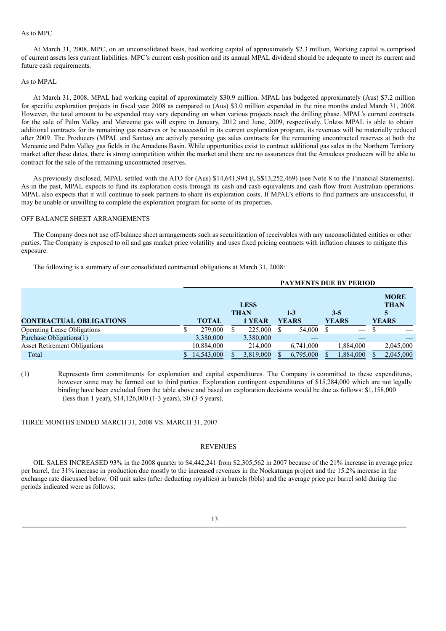#### As to MPC

At March 31, 2008, MPC, on an unconsolidated basis, had working capital of approximately \$2.3 million. Working capital is comprised of current assets less current liabilities. MPC's current cash position and its annual MPAL dividend should be adequate to meet its current and future cash requirements.

#### As to MPAL

At March 31, 2008, MPAL had working capital of approximately \$30.9 million. MPAL has budgeted approximately (Aus) \$7.2 million for specific exploration projects in fiscal year 2008 as compared to (Aus) \$3.0 million expended in the nine months ended March 31, 2008. However, the total amount to be expended may vary depending on when various projects reach the drilling phase. MPAL's current contracts for the sale of Palm Valley and Mereenie gas will expire in January, 2012 and June, 2009, respectively. Unless MPAL is able to obtain additional contracts for its remaining gas reserves or be successful in its current exploration program, its revenues will be materially reduced after 2009. The Producers (MPAL and Santos) are actively pursuing gas sales contracts for the remaining uncontracted reserves at both the Mereenie and Palm Valley gas fields in the Amadeus Basin. While opportunities exist to contract additional gas sales in the Northern Territory market after these dates, there is strong competition within the market and there are no assurances that the Amadeus producers will be able to contract for the sale of the remaining uncontracted reserves.

As previously disclosed, MPAL settled with the ATO for (Aus) \$14,641,994 (US\$13,252,469) (see Note 8 to the Financial Statements). As in the past, MPAL expects to fund its exploration costs through its cash and cash equivalents and cash flow from Australian operations. MPAL also expects that it will continue to seek partners to share its exploration costs. If MPAL's efforts to find partners are unsuccessful, it may be unable or unwilling to complete the exploration program for some of its properties.

#### OFF BALANCE SHEET ARRANGEMENTS

The Company does not use off-balance sheet arrangements such as securitization of receivables with any unconsolidated entities or other parties. The Company is exposed to oil and gas market price volatility and uses fixed pricing contracts with inflation clauses to mitigate this exposure.

The following is a summary of our consolidated contractual obligations at March 31, 2008:

|                                     |  |              |  |           | <b>PAYMENTS DUE BY PERIOD</b> |           |              |                   |              |                            |  |  |
|-------------------------------------|--|--------------|--|-----------|-------------------------------|-----------|--------------|-------------------|--------------|----------------------------|--|--|
|                                     |  |              |  |           |                               | $1 - 3$   |              | $3 - 5$           |              | <b>MORE</b><br><b>THAN</b> |  |  |
| <b>CONTRACTUAL OBLIGATIONS</b>      |  | <b>TOTAL</b> |  | 1 YEAR    | <b>YEARS</b>                  |           | <b>YEARS</b> |                   | <b>YEARS</b> |                            |  |  |
| <b>Operating Lease Obligations</b>  |  | 279,000      |  | 225,000   |                               | 54,000    |              | $\hspace{0.05cm}$ |              |                            |  |  |
| Purchase Obligations(1)             |  | 3,380,000    |  | 3,380,000 |                               |           |              |                   |              |                            |  |  |
| <b>Asset Retirement Obligations</b> |  | 10,884,000   |  | 214,000   |                               | 6,741,000 |              | 1,884,000         |              | 2,045,000                  |  |  |
| Total                               |  | 14,543,000   |  | 3,819,000 |                               | 6,795,000 |              | 1,884,000         |              | 2,045,000                  |  |  |

(1) Represents firm commitments for exploration and capital expenditures. The Company is committed to these expenditures, however some may be farmed out to third parties. Exploration contingent expenditures of \$15,284,000 which are not legally binding have been excluded from the table above and based on exploration decisions would be due as follows: \$1,158,000 (less than 1 year), \$14,126,000 (1-3 years), \$0 (3-5 years).

THREE MONTHS ENDED MARCH 31, 2008 VS. MARCH 31, 2007

#### **REVENUES**

OIL SALES INCREASED 93% in the 2008 quarter to \$4,442,241 from \$2,305,562 in 2007 because of the 21% increase in average price per barrel, the 31% increase in production due mostly to the increased revenues in the Nockatunga project and the 15.2% increase in the exchange rate discussed below. Oil unit sales (after deducting royalties) in barrels (bbls) and the average price per barrel sold during the periods indicated were as follows: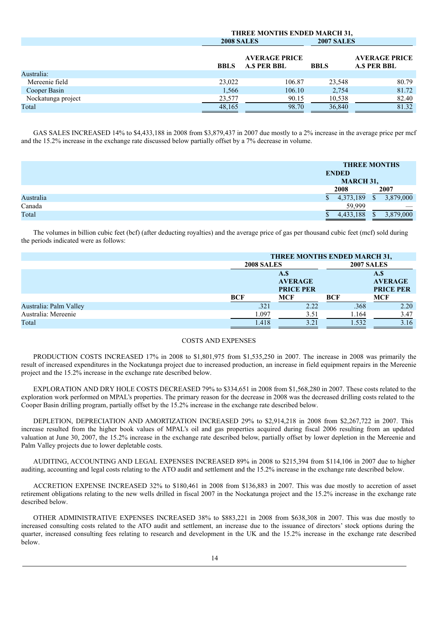|                    | <b>THREE MONTHS ENDED MARCH 31,</b> |                                            |                   |                                            |
|--------------------|-------------------------------------|--------------------------------------------|-------------------|--------------------------------------------|
|                    | <b>2008 SALES</b>                   |                                            | <b>2007 SALES</b> |                                            |
|                    | <b>BBLS</b>                         | <b>AVERAGE PRICE</b><br><b>A.S PER BBL</b> | <b>BBLS</b>       | <b>AVERAGE PRICE</b><br><b>A.S PER BBL</b> |
| Australia:         |                                     |                                            |                   |                                            |
| Mereenie field     | 23,022                              | 106.87                                     | 23,548            | 80.79                                      |
| Cooper Basin       | 1,566                               | 106.10                                     | 2,754             | 81.72                                      |
| Nockatunga project | 23,577                              | 90.15                                      | 10,538            | 82.40                                      |
| Total              | 48,165                              | 98.70                                      | 36,840            | 81.32                                      |

GAS SALES INCREASED 14% to \$4,433,188 in 2008 from \$3,879,437 in 2007 due mostly to a 2% increase in the average price per mcf and the 15.2% increase in the exchange rate discussed below partially offset by a 7% decrease in volume.

|           |              | <b>THREE MONTHS</b>                |
|-----------|--------------|------------------------------------|
|           | <b>ENDED</b> |                                    |
|           |              | <b>MARCH 31,</b>                   |
|           | 2008         | 2007                               |
| Australia | Φ            | 4,373,189<br>3,879,000             |
| Canada    |              | 59,999<br>$\overline{\phantom{a}}$ |
| Total     |              | 4,433,188<br>3,879,000             |

The volumes in billion cubic feet (bcf) (after deducting royalties) and the average price of gas per thousand cubic feet (mcf) sold during the periods indicated were as follows:

|                |                  |                   | <b>2007 SALES</b>            |  |
|----------------|------------------|-------------------|------------------------------|--|
|                |                  |                   |                              |  |
|                | A.S              |                   | A.S                          |  |
| <b>AVERAGE</b> |                  | <b>AVERAGE</b>    |                              |  |
|                | <b>PRICE PER</b> |                   | <b>PRICE PER</b>             |  |
| <b>BCF</b>     | <b>MCF</b>       | <b>BCF</b>        | <b>MCF</b>                   |  |
| .321           | 2.22             | .368              | 2.20                         |  |
| 1.097          | 3.51             | 1.164             | 3.47                         |  |
| 1.418          | 3.21             | 1.532             | 3.16                         |  |
|                |                  | <b>2008 SALES</b> | THREE MONTHS ENDED MARCH 31, |  |

#### COSTS AND EXPENSES

PRODUCTION COSTS INCREASED 17% in 2008 to \$1,801,975 from \$1,535,250 in 2007. The increase in 2008 was primarily the result of increased expenditures in the Nockatunga project due to increased production, an increase in field equipment repairs in the Mereenie project and the 15.2% increase in the exchange rate described below.

EXPLORATION AND DRY HOLE COSTS DECREASED 79% to \$334,651 in 2008 from \$1,568,280 in 2007. These costs related to the exploration work performed on MPAL's properties. The primary reason for the decrease in 2008 was the decreased drilling costs related to the Cooper Basin drilling program, partially offset by the 15.2% increase in the exchange rate described below.

DEPLETION, DEPRECIATION AND AMORTIZATION INCREASED 29% to \$2,914,218 in 2008 from \$2,267,722 in 2007. This increase resulted from the higher book values of MPAL's oil and gas properties acquired during fiscal 2006 resulting from an updated valuation at June 30, 2007, the 15.2% increase in the exchange rate described below, partially offset by lower depletion in the Mereenie and Palm Valley projects due to lower depletable costs.

AUDITING, ACCOUNTING AND LEGAL EXPENSES INCREASED 89% in 2008 to \$215,394 from \$114,106 in 2007 due to higher auditing, accounting and legal costs relating to the ATO audit and settlement and the 15.2% increase in the exchange rate described below.

ACCRETION EXPENSE INCREASED 32% to \$180,461 in 2008 from \$136,883 in 2007. This was due mostly to accretion of asset retirement obligations relating to the new wells drilled in fiscal 2007 in the Nockatunga project and the 15.2% increase in the exchange rate described below.

OTHER ADMINISTRATIVE EXPENSES INCREASED 38% to \$883,221 in 2008 from \$638,308 in 2007. This was due mostly to increased consulting costs related to the ATO audit and settlement, an increase due to the issuance of directors' stock options during the quarter, increased consulting fees relating to research and development in the UK and the 15.2% increase in the exchange rate described below.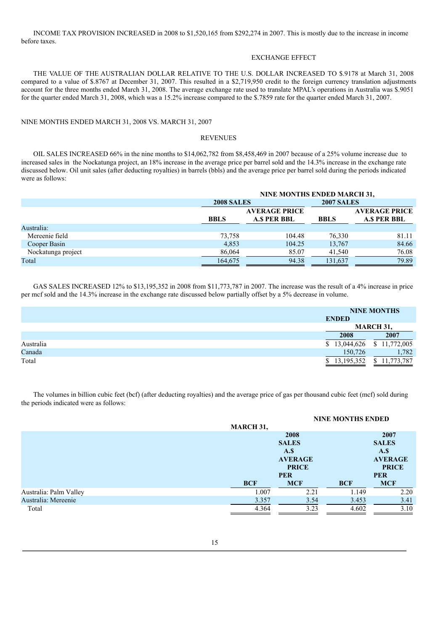INCOME TAX PROVISION INCREASED in 2008 to \$1,520,165 from \$292,274 in 2007. This is mostly due to the increase in income before taxes.

## EXCHANGE EFFECT

THE VALUE OF THE AUSTRALIAN DOLLAR RELATIVE TO THE U.S. DOLLAR INCREASED TO \$.9178 at March 31, 2008 compared to a value of \$.8767 at December 31, 2007. This resulted in a \$2,719,950 credit to the foreign currency translation adjustments account for the three months ended March 31, 2008. The average exchange rate used to translate MPAL's operations in Australia was \$.9051 for the quarter ended March 31, 2008, which was a 15.2% increase compared to the \$.7859 rate for the quarter ended March 31, 2007.

#### NINE MONTHS ENDED MARCH 31, 2008 VS. MARCH 31, 2007

#### **REVENUES**

OIL SALES INCREASED 66% in the nine months to \$14,062,782 from \$8,458,469 in 2007 because of a 25% volume increase due to increased sales in the Nockatunga project, an 18% increase in the average price per barrel sold and the 14.3% increase in the exchange rate discussed below. Oil unit sales (after deducting royalties) in barrels (bbls) and the average price per barrel sold during the periods indicated were as follows:

|                    |                   | NINE MONTHS ENDED MARCH 31, |                   |                      |
|--------------------|-------------------|-----------------------------|-------------------|----------------------|
|                    | <b>2008 SALES</b> |                             | <b>2007 SALES</b> |                      |
|                    |                   | <b>AVERAGE PRICE</b>        |                   | <b>AVERAGE PRICE</b> |
|                    | <b>BBLS</b>       | <b>A.S PER BBL</b>          | <b>BBLS</b>       | <b>A.S PER BBL</b>   |
| Australia:         |                   |                             |                   |                      |
| Mereenie field     | 73,758            | 104.48                      | 76,330            | 81.11                |
| Cooper Basin       | 4,853             | 104.25                      | 13,767            | 84.66                |
| Nockatunga project | 86,064            | 85.07                       | 41,540            | 76.08                |
| Total              | 164,675           | 94.38                       | 131.637           | 79.89                |
|                    |                   |                             |                   |                      |

GAS SALES INCREASED 12% to \$13,195,352 in 2008 from \$11,773,787 in 2007. The increase was the result of a 4% increase in price per mcf sold and the 14.3% increase in the exchange rate discussed below partially offset by a 5% decrease in volume.

|           |                  | <b>NINE MONTHS</b> |  |
|-----------|------------------|--------------------|--|
|           | <b>ENDED</b>     |                    |  |
|           |                  | <b>MARCH 31,</b>   |  |
|           | 2008             | 2007               |  |
| Australia | 13,044,626<br>\$ | 11,772,005<br>\$   |  |
| Canada    | 150,726          | 1,782              |  |
| Total     | 13, 195, 352     | ,773,787           |  |

The volumes in billion cubic feet (bcf) (after deducting royalties) and the average price of gas per thousand cubic feet (mcf) sold during the periods indicated were as follows:

| <b>MARCH 31,</b> |                |            |                          |
|------------------|----------------|------------|--------------------------|
|                  | 2008           |            | 2007                     |
|                  | <b>SALES</b>   |            | <b>SALES</b>             |
|                  | A.S            |            | A.S                      |
|                  | <b>AVERAGE</b> |            | <b>AVERAGE</b>           |
|                  | <b>PRICE</b>   |            | <b>PRICE</b>             |
|                  | <b>PER</b>     |            | <b>PER</b>               |
| <b>BCF</b>       | <b>MCF</b>     | <b>BCF</b> | <b>MCF</b>               |
| 1.007            | 2.21           | 1.149      | 2.20                     |
| 3.357            | 3.54           | 3.453      | 3.41                     |
| 4.364            | 3.23           | 4.602      | 3.10                     |
|                  |                |            | <b>NINE MONTHS ENDED</b> |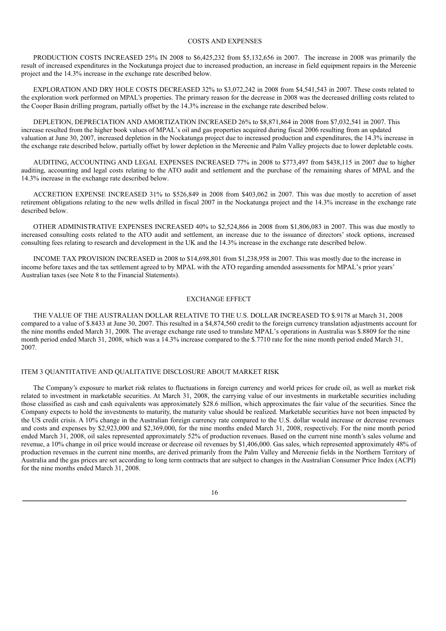#### COSTS AND EXPENSES

PRODUCTION COSTS INCREASED 25% IN 2008 to \$6,425,232 from \$5,132,656 in 2007. The increase in 2008 was primarily the result of increased expenditures in the Nockatunga project due to increased production, an increase in field equipment repairs in the Mereenie project and the 14.3% increase in the exchange rate described below.

EXPLORATION AND DRY HOLE COSTS DECREASED 32% to \$3,072,242 in 2008 from \$4,541,543 in 2007. These costs related to the exploration work performed on MPAL's properties. The primary reason for the decrease in 2008 was the decreased drilling costs related to the Cooper Basin drilling program, partially offset by the 14.3% increase in the exchange rate described below.

DEPLETION, DEPRECIATION AND AMORTIZATION INCREASED 26% to \$8,871,864 in 2008 from \$7,032,541 in 2007. This increase resulted from the higher book values of MPAL's oil and gas properties acquired during fiscal 2006 resulting from an updated valuation at June 30, 2007, increased depletion in the Nockatunga project due to increased production and expenditures, the 14.3% increase in the exchange rate described below, partially offset by lower depletion in the Mereenie and Palm Valley projects due to lower depletable costs.

AUDITING, ACCOUNTING AND LEGAL EXPENSES INCREASED 77% in 2008 to \$773,497 from \$438,115 in 2007 due to higher auditing, accounting and legal costs relating to the ATO audit and settlement and the purchase of the remaining shares of MPAL and the 14.3% increase in the exchange rate described below.

ACCRETION EXPENSE INCREASED 31% to \$526,849 in 2008 from \$403,062 in 2007. This was due mostly to accretion of asset retirement obligations relating to the new wells drilled in fiscal 2007 in the Nockatunga project and the 14.3% increase in the exchange rate described below.

OTHER ADMINISTRATIVE EXPENSES INCREASED 40% to \$2,524,866 in 2008 from \$1,806,083 in 2007. This was due mostly to increased consulting costs related to the ATO audit and settlement, an increase due to the issuance of directors' stock options, increased consulting fees relating to research and development in the UK and the 14.3% increase in the exchange rate described below.

INCOME TAX PROVISION INCREASED in 2008 to \$14,698,801 from \$1,238,958 in 2007. This was mostly due to the increase in income before taxes and the tax settlement agreed to by MPAL with the ATO regarding amended assessments for MPAL's prior years' Australian taxes (see Note 8 to the Financial Statements).

#### EXCHANGE EFFECT

THE VALUE OF THE AUSTRALIAN DOLLAR RELATIVE TO THE U.S. DOLLAR INCREASED TO \$.9178 at March 31, 2008 compared to a value of \$.8433 at June 30, 2007. This resulted in a \$4,874,560 credit to the foreign currency translation adjustments account for the nine months ended March 31, 2008. The average exchange rate used to translate MPAL's operations in Australia was \$.8809 for the nine month period ended March 31, 2008, which was a 14.3% increase compared to the \$.7710 rate for the nine month period ended March 31, 2007.

#### ITEM 3 QUANTITATIVE AND QUALITATIVE DISCLOSURE ABOUT MARKET RISK

The Company's exposure to market risk relates to fluctuations in foreign currency and world prices for crude oil, as well as market risk related to investment in marketable securities. At March 31, 2008, the carrying value of our investments in marketable securities including those classified as cash and cash equivalents was approximately \$28.6 million, which approximates the fair value of the securities. Since the Company expects to hold the investments to maturity, the maturity value should be realized. Marketable securities have not been impacted by the US credit crisis. A 10% change in the Australian foreign currency rate compared to the U.S. dollar would increase or decrease revenues and costs and expenses by \$2,923,000 and \$2,369,000, for the nine months ended March 31, 2008, respectively. For the nine month period ended March 31, 2008, oil sales represented approximately 52% of production revenues. Based on the current nine month's sales volume and revenue, a 10% change in oil price would increase or decrease oil revenues by \$1,406,000. Gas sales, which represented approximately 48% of production revenues in the current nine months, are derived primarily from the Palm Valley and Mereenie fields in the Northern Territory of Australia and the gas prices are set according to long term contracts that are subject to changes in the Australian Consumer Price Index (ACPI) for the nine months ended March 31, 2008.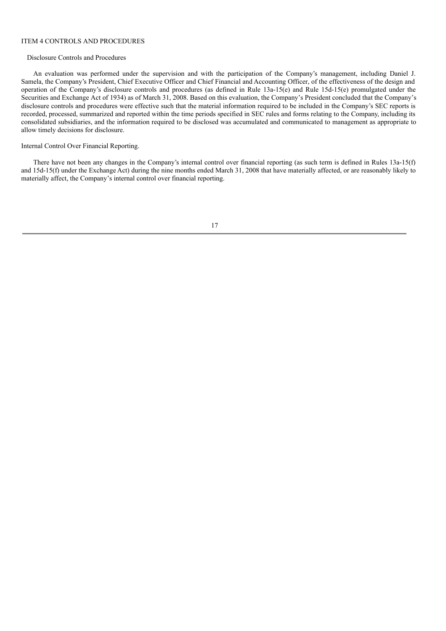#### ITEM 4 CONTROLS AND PROCEDURES

#### Disclosure Controls and Procedures

An evaluation was performed under the supervision and with the participation of the Company's management, including Daniel J. Samela, the Company's President, Chief Executive Officer and Chief Financial and Accounting Officer, of the effectiveness of the design and operation of the Company's disclosure controls and procedures (as defined in Rule 13a-15(e) and Rule 15d-15(e) promulgated under the Securities and Exchange Act of 1934) as of March 31, 2008. Based on this evaluation, the Company's President concluded that the Company's disclosure controls and procedures were effective such that the material information required to be included in the Company's SEC reports is recorded, processed, summarized and reported within the time periods specified in SEC rules and forms relating to the Company, including its consolidated subsidiaries, and the information required to be disclosed was accumulated and communicated to management as appropriate to allow timely decisions for disclosure.

## Internal Control Over Financial Reporting.

There have not been any changes in the Company's internal control over financial reporting (as such term is defined in Rules 13a-15(f) and 15d-15(f) under the Exchange Act) during the nine months ended March 31, 2008 that have materially affected, or are reasonably likely to materially affect, the Company's internal control over financial reporting.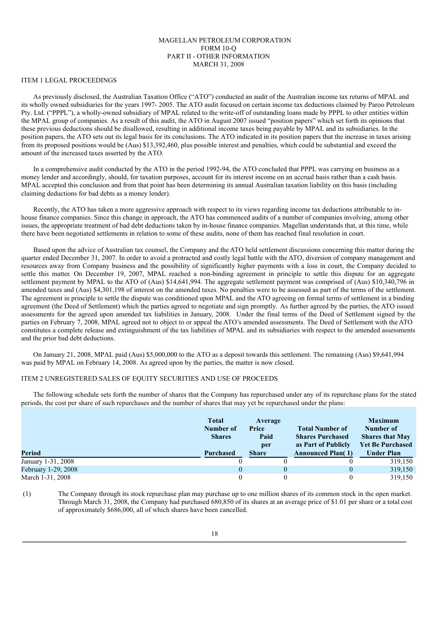#### MAGELLAN PETROLEUM CORPORATION FORM 10-Q PART II - OTHER INFORMATION MARCH 31, 2008

## ITEM 1 LEGAL PROCEEDINGS

As previously disclosed, the Australian Taxation Office ("ATO") conducted an audit of the Australian income tax returns of MPAL and its wholly owned subsidiaries for the years 1997- 2005. The ATO audit focused on certain income tax deductions claimed by Paroo Petroleum Pty. Ltd. ("PPPL"), a wholly-owned subsidiary of MPAL related to the write-off of outstanding loans made by PPPL to other entities within the MPAL group of companies. As a result of this audit, the ATO in August 2007 issued "position papers" which set forth its opinions that these previous deductions should be disallowed, resulting in additional income taxes being payable by MPAL and its subsidiaries. In the position papers, the ATO sets out its legal basis for its conclusions. The ATO indicated in its position papers that the increase in taxes arising from its proposed positions would be (Aus) \$13,392,460, plus possible interest and penalties, which could be substantial and exceed the amount of the increased taxes asserted by the ATO.

In a comprehensive audit conducted by the ATO in the period 1992-94, the ATO concluded that PPPL was carrying on business as a money lender and accordingly, should, for taxation purposes, account for its interest income on an accrual basis rather than a cash basis. MPAL accepted this conclusion and from that point has been determining its annual Australian taxation liability on this basis (including claiming deductions for bad debts as a money lender).

Recently, the ATO has taken a more aggressive approach with respect to its views regarding income tax deductions attributable to inhouse finance companies. Since this change in approach, the ATO has commenced audits of a number of companies involving, among other issues, the appropriate treatment of bad debt deductions taken by in-house finance companies. Magellan understands that, at this time, while there have been negotiated settlements in relation to some of these audits, none of them has reached final resolution in court.

Based upon the advice of Australian tax counsel, the Company and the ATO held settlement discussions concerning this matter during the quarter ended December 31, 2007. In order to avoid a protracted and costly legal battle with the ATO, diversion of company management and resources away from Company business and the possibility of significantly higher payments with a loss in court, the Company decided to settle this matter. On December 19, 2007, MPAL reached a non-binding agreement in principle to settle this dispute for an aggregate settlement payment by MPAL to the ATO of (Aus) \$14,641,994. The aggregate settlement payment was comprised of (Aus) \$10,340,796 in amended taxes and (Aus) \$4,301,198 of interest on the amended taxes. No penalties were to be assessed as part of the terms of the settlement. The agreement in principle to settle the dispute was conditioned upon MPAL and the ATO agreeing on formal terms of settlement in a binding agreement (the Deed of Settlement) which the parties agreed to negotiate and sign promptly. As further agreed by the parties, the ATO issued assessments for the agreed upon amended tax liabilities in January, 2008. Under the final terms of the Deed of Settlement signed by the parties on February 7, 2008, MPAL agreed not to object to or appeal the ATO's amended assessments. The Deed of Settlement with the ATO constitutes a complete release and extinguishment of the tax liabilities of MPAL and its subsidiaries with respect to the amended assessments and the prior bad debt deductions.

On January 21, 2008, MPAL paid (Aus) \$5,000,000 to the ATO as a deposit towards this settlement. The remaining (Aus) \$9,641,994 was paid by MPAL on February 14, 2008. As agreed upon by the parties, the matter is now closed.

#### ITEM 2 UNREGISTERED SALES OF EQUITY SECURITIES AND USE OF PROCEEDS

The following schedule sets forth the number of shares that the Company has repurchased under any of its repurchase plans for the stated periods, the cost per share of such repurchases and the number of shares that may yet be repurchased under the plans:

| Period                     | <b>Total</b><br>Number of<br><b>Shares</b><br><b>Purchased</b> | Average<br>Price<br>Paid<br>per<br><b>Share</b> | <b>Total Number of</b><br><b>Shares Purchased</b><br>as Part of Publicly<br><b>Announced Plan(1)</b> | <b>Maximum</b><br>Number of<br><b>Shares that May</b><br><b>Yet Be Purchased</b><br><b>Under Plan</b> |
|----------------------------|----------------------------------------------------------------|-------------------------------------------------|------------------------------------------------------------------------------------------------------|-------------------------------------------------------------------------------------------------------|
| January 1-31, 2008         |                                                                |                                                 |                                                                                                      | 319,150                                                                                               |
| <b>February 1-29, 2008</b> |                                                                | 0                                               |                                                                                                      | 319,150                                                                                               |
| March 1-31, 2008           |                                                                |                                                 |                                                                                                      | 319,150                                                                                               |

(1) The Company through its stock repurchase plan may purchase up to one million shares of its common stock in the open market. Through March 31, 2008, the Company had purchased 680,850 of its shares at an average price of \$1.01 per share or a total cost of approximately \$686,000, all of which shares have been cancelled.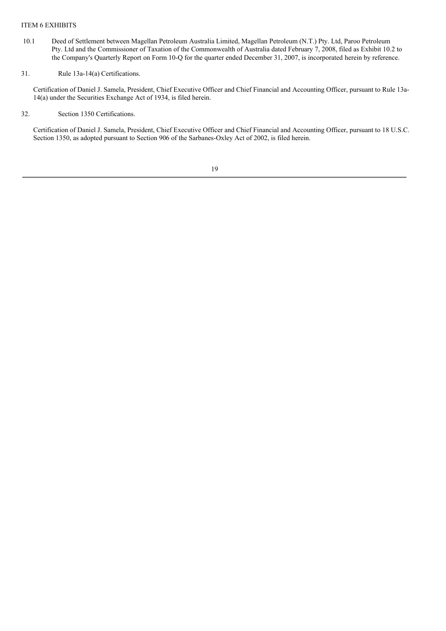#### ITEM 6 EXHIBITS

- 10.1 Deed of Settlement between Magellan Petroleum Australia Limited, Magellan Petroleum (N.T.) Pty. Ltd, Paroo Petroleum Pty. Ltd and the Commissioner of Taxation of the Commonwealth of Australia dated February 7, 2008, filed as Exhibit 10.2 to the Company's Quarterly Report on Form 10-Q for the quarter ended December 31, 2007, is incorporated herein by reference.
- 31. Rule 13a-14(a) Certifications.

Certification of Daniel J. Samela, President, Chief Executive Officer and Chief Financial and Accounting Officer, pursuant to Rule 13a-14(a) under the Securities Exchange Act of 1934, is filed herein.

32. Section 1350 Certifications.

Certification of Daniel J. Samela, President, Chief Executive Officer and Chief Financial and Accounting Officer, pursuant to 18 U.S.C. Section 1350, as adopted pursuant to Section 906 of the Sarbanes-Oxley Act of 2002, is filed herein.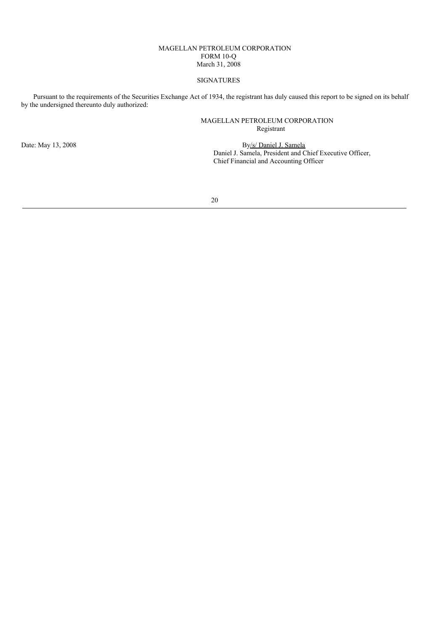#### MAGELLAN PETROLEUM CORPORATION FORM 10-Q March 31, 2008

#### SIGNATURES

Pursuant to the requirements of the Securities Exchange Act of 1934, the registrant has duly caused this report to be signed on its behalf by the undersigned thereunto duly authorized:

#### MAGELLAN PETROLEUM CORPORATION Registrant

Date: May 13, 2008 By/s/ Daniel J. Samela Daniel J. Samela, President and Chief Executive Officer, Chief Financial and Accounting Officer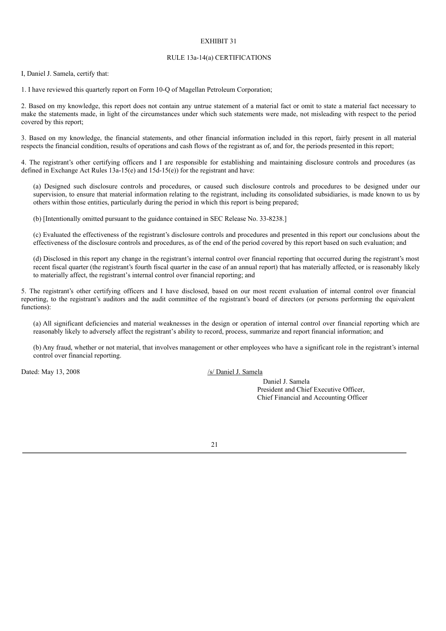#### EXHIBIT 31

#### RULE 13a-14(a) CERTIFICATIONS

I, Daniel J. Samela, certify that:

1. I have reviewed this quarterly report on Form 10-Q of Magellan Petroleum Corporation;

2. Based on my knowledge, this report does not contain any untrue statement of a material fact or omit to state a material fact necessary to make the statements made, in light of the circumstances under which such statements were made, not misleading with respect to the period covered by this report;

3. Based on my knowledge, the financial statements, and other financial information included in this report, fairly present in all material respects the financial condition, results of operations and cash flows of the registrant as of, and for, the periods presented in this report;

4. The registrant's other certifying officers and I are responsible for establishing and maintaining disclosure controls and procedures (as defined in Exchange Act Rules 13a-15(e) and 15d-15(e)) for the registrant and have:

(a) Designed such disclosure controls and procedures, or caused such disclosure controls and procedures to be designed under our supervision, to ensure that material information relating to the registrant, including its consolidated subsidiaries, is made known to us by others within those entities, particularly during the period in which this report is being prepared;

(b) [Intentionally omitted pursuant to the guidance contained in SEC Release No. 33-8238.]

(c) Evaluated the effectiveness of the registrant's disclosure controls and procedures and presented in this report our conclusions about the effectiveness of the disclosure controls and procedures, as of the end of the period covered by this report based on such evaluation; and

(d) Disclosed in this report any change in the registrant's internal control over financial reporting that occurred during the registrant's most recent fiscal quarter (the registrant's fourth fiscal quarter in the case of an annual report) that has materially affected, or is reasonably likely to materially affect, the registrant's internal control over financial reporting; and

5. The registrant's other certifying officers and I have disclosed, based on our most recent evaluation of internal control over financial reporting, to the registrant's auditors and the audit committee of the registrant's board of directors (or persons performing the equivalent functions):

(a) All significant deficiencies and material weaknesses in the design or operation of internal control over financial reporting which are reasonably likely to adversely affect the registrant's ability to record, process, summarize and report financial information; and

(b) Any fraud, whether or not material, that involves management or other employees who have a significant role in the registrant's internal control over financial reporting.

Dated: May 13, 2008 /s/ Daniel J. Samela

Daniel J. Samela President and Chief Executive Officer, Chief Financial and Accounting Officer